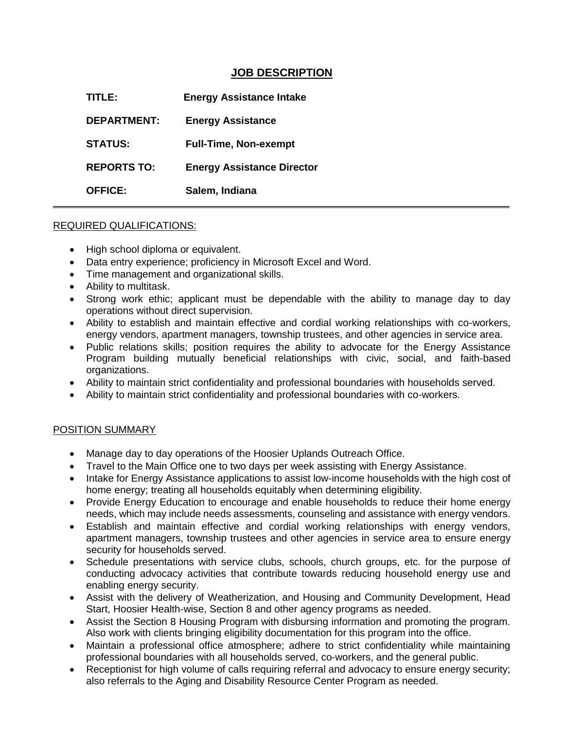## **JOB DESCRIPTION**

**TITLE: Energy Assistance Intake DEPARTMENT: Energy Assistance STATUS: Full-Time, Non-exempt REPORTS TO: Energy Assistance Director OFFICE: Salem, Indiana \_\_\_\_\_\_\_\_\_\_\_\_\_\_\_\_\_\_\_\_\_\_\_\_\_\_\_\_\_\_\_\_\_\_\_\_\_\_\_\_\_\_\_\_\_\_\_\_\_\_\_\_\_\_\_\_\_\_\_\_\_\_\_\_\_\_\_\_\_\_\_\_\_\_\_\_\_\_\_\_\_**

## REQUIRED QUALIFICATIONS:

- High school diploma or equivalent.
- Data entry experience; proficiency in Microsoft Excel and Word.
- Time management and organizational skills.
- Ability to multitask.
- Strong work ethic; applicant must be dependable with the ability to manage day to day operations without direct supervision.
- Ability to establish and maintain effective and cordial working relationships with co-workers, energy vendors, apartment managers, township trustees, and other agencies in service area.
- Public relations skills; position requires the ability to advocate for the Energy Assistance Program building mutually beneficial relationships with civic, social, and faith-based organizations.
- Ability to maintain strict confidentiality and professional boundaries with households served.
- Ability to maintain strict confidentiality and professional boundaries with co-workers.

## POSITION SUMMARY

- Manage day to day operations of the Hoosier Uplands Outreach Office.
- Travel to the Main Office one to two days per week assisting with Energy Assistance.
- Intake for Energy Assistance applications to assist low-income households with the high cost of home energy; treating all households equitably when determining eligibility.
- Provide Energy Education to encourage and enable households to reduce their home energy needs, which may include needs assessments, counseling and assistance with energy vendors.
- Establish and maintain effective and cordial working relationships with energy vendors, apartment managers, township trustees and other agencies in service area to ensure energy security for households served.
- Schedule presentations with service clubs, schools, church groups, etc. for the purpose of conducting advocacy activities that contribute towards reducing household energy use and enabling energy security.
- Assist with the delivery of Weatherization, and Housing and Community Development, Head Start, Hoosier Health-wise, Section 8 and other agency programs as needed.
- Assist the Section 8 Housing Program with disbursing information and promoting the program. Also work with clients bringing eligibility documentation for this program into the office.
- Maintain a professional office atmosphere; adhere to strict confidentiality while maintaining professional boundaries with all households served, co-workers, and the general public.
- Receptionist for high volume of calls requiring referral and advocacy to ensure energy security; also referrals to the Aging and Disability Resource Center Program as needed.